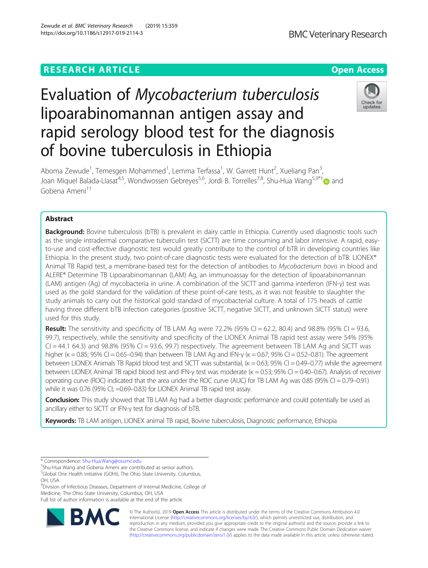# **RESEARCH ARTICLE Example 2014 12:30 The Contract of Contract ACCESS**

# Evaluation of Mycobacterium tuberculosis lipoarabinomannan antigen assay and rapid serology blood test for the diagnosis of bovine tuberculosis in Ethiopia

Aboma Zewude<sup>1</sup>, Temesgen Mohammed<sup>1</sup>, Lemma Terfassa<sup>1</sup>, W. Garrett Hunt<sup>2</sup>, Xueliang Pan<sup>3</sup> , Joan Miguel Balada-Llasat<sup>4,5</sup>, Wondwossen Gebreyes<sup>5,6</sup>, Jordi B. Torrelles<sup>7,8</sup>, Shu-Hua Wang<sup>5,9\*†</sup> and Gobena Ameni<sup>1†</sup>

## Abstract

Background: Bovine tuberculosis (bTB) is prevalent in dairy cattle in Ethiopia. Currently used diagnostic tools such as the single intradermal comparative tuberculin test (SICTT) are time consuming and labor intensive. A rapid, easyto-use and cost-effective diagnostic test would greatly contribute to the control of bTB in developing countries like Ethiopia. In the present study, two point-of-care diagnostic tests were evaluated for the detection of bTB: LIONEX® Animal TB Rapid test, a membrane-based test for the detection of antibodies to Mycobacterium bovis in blood and ALERE® Determine TB Lipoarabinomannan (LAM) Ag, an immunoassay for the detection of lipoarabinomannan (LAM) antigen (Ag) of mycobacteria in urine. A combination of the SICTT and gamma interferon (IFN-γ) test was used as the gold standard for the validation of these point-of-care tests, as it was not feasible to slaughter the study animals to carry out the historical gold standard of mycobacterial culture. A total of 175 heads of cattle having three different bTB infection categories (positive SICTT, negative SICTT, and unknown SICTT status) were used for this study.

**Result:** The sensitivity and specificity of TB LAM Ag were 72.2% (95% CI = 62.2, 80.4) and 98.8% (95% CI = 93.6, 99.7), respectively, while the sensitivity and specificity of the LIONEX Animal TB rapid test assay were 54% (95%  $Cl = 44.1$  64.3) and 98.8% (95% CI = 93.6, 99.7) respectively. The agreement between TB LAM Ag and SICTT was higher ( $\kappa$  = 0.85; 95% CI = 0.65–0.94) than between TB LAM Ag and IFN- $\gamma$  ( $\kappa$  = 0.67; 95% CI = 0.52–0.81). The agreement between LIONEX Animals TB Rapid blood test and SICTT was substantial, (κ = 0.63; 95% CI = 0.49-0.77) while the agreement between LIONEX Animal TB rapid blood test and IFN-γ test was moderate (κ = 0.53; 95% CI = 0.40-0.67). Analysis of receiver operating curve (ROC) indicated that the area under the ROC curve (AUC) for TB LAM Ag was 0.85 (95% CI = 0.79–0.91) while it was 0.76 (95% CI; =0.69–0.83) for LIONEX Animal TB rapid test assay.

Conclusion: This study showed that TB LAM Ag had a better diagnostic performance and could potentially be used as ancillary either to SICTT or IFN-γ test for diagnosis of bTB.

Keywords: TB LAM antigen, LIONEX animal TB rapid, Bovine tuberculosis, Diagnostic performance, Ethiopia

BA

<sup>9</sup>Division of Infectious Diseases, Department of Internal Medicine, College of Medicine, The Ohio State University, Columbus, OH, USA

Full list of author information is available at the end of the article







<sup>\*</sup> Correspondence: [Shu-Hua.Wang@osumc.edu](mailto:Shu-Hua.Wang@osumc.edu) †

Shu-Hua Wang and Gobena Ameni are contributed as senior authors.

<sup>5</sup> Global One Health initiative (GOHi), The Ohio State University, Columbus, OH, USA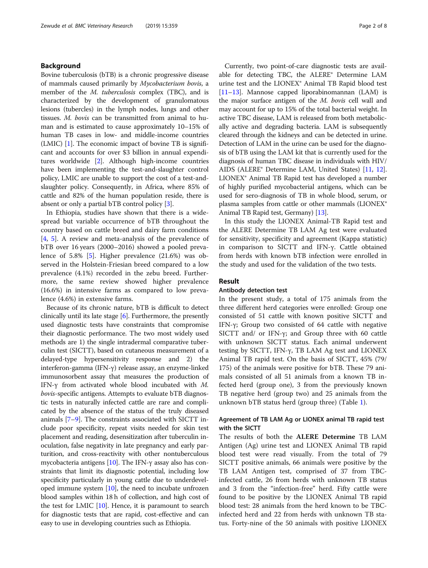#### Background

Bovine tuberculosis (bTB) is a chronic progressive disease of mammals caused primarily by Mycobacterium bovis, a member of the *M. tuberculosis* complex (TBC), and is characterized by the development of granulomatous lesions (tubercles) in the lymph nodes, lungs and other tissues. M. bovis can be transmitted from animal to human and is estimated to cause approximately 10–15% of human TB cases in low- and middle-income countries (LMIC) [\[1](#page-6-0)]. The economic impact of bovine TB is significant and accounts for over \$3 billion in annual expenditures worldwide [[2\]](#page-6-0). Although high-income countries have been implementing the test-and-slaughter control policy, LMIC are unable to support the cost of a test-andslaughter policy. Consequently, in Africa, where 85% of cattle and 82% of the human population reside, there is absent or only a partial bTB control policy [[3\]](#page-6-0).

In Ethiopia, studies have shown that there is a widespread but variable occurrence of bTB throughout the country based on cattle breed and dairy farm conditions [[4,](#page-6-0) [5](#page-6-0)]. A review and meta-analysis of the prevalence of bTB over 16 years (2000–2016) showed a pooled prevalence of 5.8% [[5](#page-6-0)]. Higher prevalence (21.6%) was observed in the Holstein-Friesian breed compared to a low prevalence (4.1%) recorded in the zebu breed. Furthermore, the same review showed higher prevalence (16.6%) in intensive farms as compared to low prevalence (4.6%) in extensive farms.

Because of its chronic nature, bTB is difficult to detect clinically until its late stage [\[6](#page-6-0)]. Furthermore, the presently used diagnostic tests have constraints that compromise their diagnostic performance. The two most widely used methods are 1) the single intradermal comparative tuberculin test (SICTT), based on cutaneous measurement of a delayed-type hypersensitivity response and 2) the interferon-gamma (IFN-γ) release assay, an enzyme-linked immunosorbent assay that measures the production of IFN-γ from activated whole blood incubated with M. bovis-specific antigens. Attempts to evaluate bTB diagnostic tests in naturally infected cattle are rare and complicated by the absence of the status of the truly diseased animals [[7](#page-6-0)–[9](#page-6-0)]. The constraints associated with SICTT include poor specificity, repeat visits needed for skin test placement and reading, desensitization after tuberculin inoculation, false negativity in late pregnancy and early parturition, and cross-reactivity with other nontuberculous mycobacteria antigens [[10](#page-6-0)]. The IFN-γ assay also has constraints that limit its diagnostic potential, including low specificity particularly in young cattle due to underdeveloped immune system [[10](#page-6-0)], the need to incubate unfrozen blood samples within 18 h of collection, and high cost of the test for LMIC [[10](#page-6-0)]. Hence, it is paramount to search for diagnostic tests that are rapid, cost-effective and can easy to use in developing countries such as Ethiopia.

Currently, two point-of-care diagnostic tests are available for detecting TBC, the ALERE® Determine LAM urine test and the LIONEX® Animal TB Rapid blood test [[11](#page-6-0)–[13\]](#page-6-0). Mannose capped liporabinomannan (LAM) is the major surface antigen of the M. bovis cell wall and may account for up to 15% of the total bacterial weight. In active TBC disease, LAM is released from both metabolically active and degrading bacteria. LAM is subsequently cleared through the kidneys and can be detected in urine. Detection of LAM in the urine can be used for the diagnosis of bTB using the LAM kit that is currently used for the diagnosis of human TBC disease in individuals with HIV/ AIDS (ALERE® Determine LAM, United States) [\[11,](#page-6-0) [12](#page-6-0)]. LIONEX® Animal TB Rapid test has developed a number of highly purified mycobacterial antigens, which can be used for sero-diagnosis of TB in whole blood, serum, or plasma samples from cattle or other mammals (LIONEX<sup>®</sup> Animal TB Rapid test, Germany) [\[13\]](#page-6-0).

In this study the LIONEX Animal-TB Rapid test and the ALERE Determine TB LAM Ag test were evaluated for sensitivity, specificity and agreement (Kappa statistic) in comparison to SICTT and IFN-γ. Cattle obtained from herds with known bTB infection were enrolled in the study and used for the validation of the two tests.

#### Result

#### Antibody detection test

In the present study, a total of 175 animals from the three different herd categories were enrolled: Group one consisted of 51 cattle with known positive SICTT and IFN-γ; Group two consisted of 64 cattle with negative SICTT and/ or IFN-γ; and Group three with 60 cattle with unknown SICTT status. Each animal underwent testing by SICTT, IFN-γ, TB LAM Ag test and LIONEX Animal TB rapid test. On the basis of SICTT, 45% (79/ 175) of the animals were positive for bTB. These 79 animals consisted of all 51 animals from a known TB infected herd (group one), 3 from the previously known TB negative herd (group two) and 25 animals from the unknown bTB status herd (group three) (Table [1\)](#page-2-0).

#### Agreement of TB LAM Ag or LIONEX animal TB rapid test with the SICTT

The results of both the ALERE Determine TB LAM Antigen (Ag) urine test and LIONEX Animal TB rapid blood test were read visually. From the total of 79 SICTT positive animals, 66 animals were positive by the TB LAM Antigen test, comprised of 37 from TBCinfected cattle, 26 from herds with unknown TB status and 3 from the "infection-free" herd. Fifty cattle were found to be positive by the LIONEX Animal TB rapid blood test: 28 animals from the herd known to be TBCinfected herd and 22 from herds with unknown TB status. Forty-nine of the 50 animals with positive LIONEX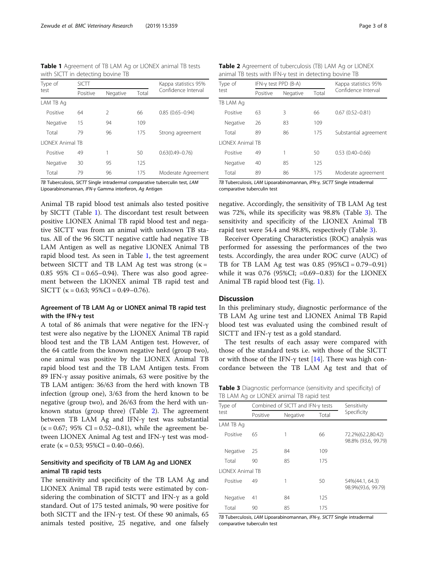<span id="page-2-0"></span>Table 1 Agreement of TB LAM Ag or LIONEX animal TB tests with SICTT in detecting bovine TB

| Type of<br>test         | <b>SICTT</b> |               |       | Kappa statistics 95%<br>Confidence Interval |
|-------------------------|--------------|---------------|-------|---------------------------------------------|
|                         | Positive     | Negative      | Total |                                             |
| LAM TB Ag               |              |               |       |                                             |
| Positive                | 64           | $\mathcal{P}$ | 66    | $0.85(0.65 - 0.94)$                         |
| Negative                | 15           | 94            | 109   |                                             |
| Total                   | 79           | 96            | 175   | Strong agreement                            |
| <b>LIONEX Animal TR</b> |              |               |       |                                             |
| Positive                | 49           | 1             | 50    | $0.63(0.49 - 0.76)$                         |
| Negative                | 30           | 95            | 125   |                                             |
| Total                   | 79           | 96            | 175   | Moderate Agreement                          |

TB Tuberculosis, SICTT Single intradermal comparative tuberculin test, LAM Lipoarabinomannan, IFN-<sup>γ</sup> Gamma interferon, Ag Antigen

Animal TB rapid blood test animals also tested positive by SICTT (Table 1). The discordant test result between positive LIONEX Animal TB rapid blood test and negative SICTT was from an animal with unknown TB status. All of the 96 SICTT negative cattle had negative TB LAM Antigen as well as negative LIONEX Animal TB rapid blood test. As seen in Table 1, the test agreement between SICTT and TB LAM Ag test was strong  $(k =$ 0.85 95% CI =  $0.65-0.94$ ). There was also good agreement between the LIONEX animal TB rapid test and SICTT ( $\kappa$  = 0.63; 95%CI = 0.49–0.76).

#### Agreement of TB LAM Ag or LIONEX animal TB rapid test with the IFN-γ test

A total of 86 animals that were negative for the IFN-γ test were also negative by the LIONEX Animal TB rapid blood test and the TB LAM Antigen test. However, of the 64 cattle from the known negative herd (group two), one animal was positive by the LIONEX Animal TB rapid blood test and the TB LAM Antigen tests. From 89 IFN-γ assay positive animals, 63 were positive by the TB LAM antigen: 36/63 from the herd with known TB infection (group one), 3/63 from the herd known to be negative (group two), and 26/63 from the herd with unknown status (group three) (Table 2). The agreement between TB LAM Ag and IFN-γ test was substantial ( $\kappa$  = 0.67; 95% CI = 0.52–0.81), while the agreement between LIONEX Animal Ag test and IFN-γ test was moderate ( $\kappa = 0.53$ ; 95%CI = 0.40–0.66).

#### Sensitivity and specificity of TB LAM Ag and LIONEX animal TB rapid tests

The sensitivity and specificity of the TB LAM Ag and LIONEX Animal TB rapid tests were estimated by considering the combination of SICTT and IFN-γ as a gold standard. Out of 175 tested animals, 90 were positive for both SICTT and the IFN-γ test. Of these 90 animals, 65 animals tested positive, 25 negative, and one falsely

Table 2 Agreement of tuberculosis (TB) LAM Ag or LIONEX animal TB tests with IFN-γ test in detecting bovine TB

| Type of<br>test         |          | IFN-y test PPD (B-A) | Kappa statistics 95% |                       |
|-------------------------|----------|----------------------|----------------------|-----------------------|
|                         | Positive | Negative             | Total                | Confidence Interval   |
| TB LAM Ag               |          |                      |                      |                       |
| Positive                | 63       | 3                    | 66                   | $0.67(0.52 - 0.81)$   |
| Negative                | 26       | 83                   | 109                  |                       |
| Total                   | 89       | 86                   | 175                  | Substantial agreement |
| <b>LIONEX Animal TB</b> |          |                      |                      |                       |
| Positive                | 49       |                      | 50                   | $0.53(0.40 - 0.66)$   |
| Negative                | 40       | 85                   | 125                  |                       |
| Total                   | 89       | 86                   | 175                  | Moderate agreement    |

TB Tuberculosis, LAM Lipoarabinomannan, IFN-γ, SICTT Single intradermal comparative tuberculin test

negative. Accordingly, the sensitivity of TB LAM Ag test was 72%, while its specificity was 98.8% (Table 3). The sensitivity and specificity of the LIONEX Animal TB rapid test were 54.4 and 98.8%, respectively (Table 3).

Receiver Operating Characteristics (ROC) analysis was performed for assessing the performances of the two tests. Accordingly, the area under ROC curve (AUC) of TB for TB LAM Ag test was 0.85 (95%CI = 0.79–0.91) while it was  $0.76$  (95%CI; =0.69-0.83) for the LIONEX Animal TB rapid blood test (Fig. [1](#page-3-0)).

#### **Discussion**

In this preliminary study, diagnostic performance of the TB LAM Ag urine test and LIONEX Animal TB Rapid blood test was evaluated using the combined result of SICTT and IFN-γ test as a gold standard.

The test results of each assay were compared with those of the standard tests i.e. with those of the SICTT or with those of the IFN-γ test [\[14](#page-6-0)]. There was high concordance between the TB LAM Ag test and that of

Table 3 Diagnostic performance (sensitivity and specificity) of TB LAM Ag or LIONEX animal TB rapid test

| Type of<br>test         |          | Combined of SICTT and IFN- $\gamma$ tests | Sensitivity |                                          |
|-------------------------|----------|-------------------------------------------|-------------|------------------------------------------|
|                         | Positive | Negative                                  | Total       | Specificity                              |
| LAM TB Ag               |          |                                           |             |                                          |
| Positive                | 65       | 1                                         | 66          | 72.2%(62.2,80.42)<br>98.8% (93.6, 99.79) |
| Negative                | 25       | 84                                        | 109         |                                          |
| Total                   | 90       | 85                                        | 175         |                                          |
| <b>LIONEX Animal TB</b> |          |                                           |             |                                          |
| Positive                | 49       | 1                                         | 50          | 54%(44.1, 64.3)<br>98.9%(93.6, 99.79)    |
| Negative                | 41       | 84                                        | 125         |                                          |
| Total                   | 90       | 85                                        | 175         |                                          |

TB Tuberculosis, LAM Lipoarabinomannan, IFN-γ, SICTT Single intradermal comparative tuberculin test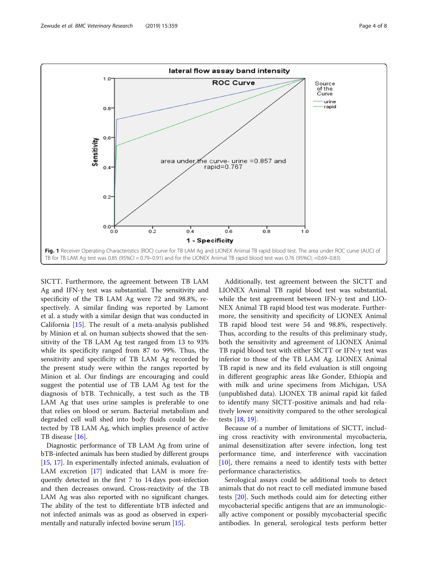<span id="page-3-0"></span>

SICTT. Furthermore, the agreement between TB LAM Ag and IFN-γ test was substantial. The sensitivity and specificity of the TB LAM Ag were 72 and 98.8%, respectively. A similar finding was reported by Lamont et al. a study with a similar design that was conducted in California [\[15](#page-6-0)]. The result of a meta-analysis published by Minion et al. on human subjects showed that the sensitivity of the TB LAM Ag test ranged from 13 to 93% while its specificity ranged from 87 to 99%. Thus, the sensitivity and specificity of TB LAM Ag recorded by the present study were within the ranges reported by Minion et al. Our findings are encouraging and could suggest the potential use of TB LAM Ag test for the diagnosis of bTB. Technically, a test such as the TB LAM Ag that uses urine samples is preferable to one that relies on blood or serum. Bacterial metabolism and degraded cell wall shed into body fluids could be detected by TB LAM Ag, which implies presence of active TB disease [[16](#page-6-0)].

Diagnostic performance of TB LAM Ag from urine of bTB-infected animals has been studied by different groups [[15](#page-6-0), [17](#page-6-0)]. In experimentally infected animals, evaluation of LAM excretion [\[17](#page-6-0)] indicated that LAM is more frequently detected in the first 7 to 14 days post-infection and then decreases onward. Cross-reactivity of the TB LAM Ag was also reported with no significant changes. The ability of the test to differentiate bTB infected and not infected animals was as good as observed in experimentally and naturally infected bovine serum [\[15\]](#page-6-0).

Additionally, test agreement between the SICTT and LIONEX Animal TB rapid blood test was substantial, while the test agreement between IFN-γ test and LIO-NEX Animal TB rapid blood test was moderate. Furthermore, the sensitivity and specificity of LIONEX Animal TB rapid blood test were 54 and 98.8%, respectively. Thus, according to the results of this preliminary study, both the sensitivity and agreement of LIONEX Animal TB rapid blood test with either SICTT or IFN-γ test was inferior to those of the TB LAM Ag. LIONEX Animal TB rapid is new and its field evaluation is still ongoing in different geographic areas like Gonder, Ethiopia and with milk and urine specimens from Michigan, USA (unpublished data). LIONEX TB animal rapid kit failed to identify many SICTT-positive animals and had relatively lower sensitivity compared to the other serological tests [\[18,](#page-6-0) [19\]](#page-6-0).

Because of a number of limitations of SICTT, including cross reactivity with environmental mycobacteria, animal desensitization after severe infection, long test performance time, and interference with vaccination [[10\]](#page-6-0), there remains a need to identify tests with better performance characteristics.

Serological assays could be additional tools to detect animals that do not react to cell mediated immune based tests [\[20\]](#page-7-0). Such methods could aim for detecting either mycobacterial specific antigens that are an immunologically active component or possibly mycobacterial specific antibodies. In general, serological tests perform better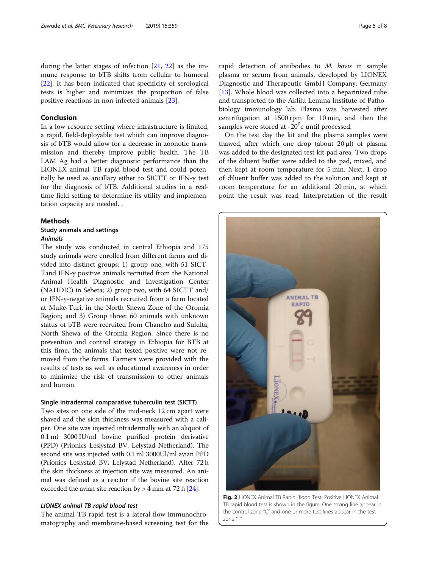<span id="page-4-0"></span>during the latter stages of infection [[21,](#page-7-0) [22\]](#page-7-0) as the immune response to bTB shifts from cellular to humoral [[22\]](#page-7-0). It has been indicated that specificity of serological tests is higher and minimizes the proportion of false positive reactions in non-infected animals [[23\]](#page-7-0).

#### Conclusion

In a low resource setting where infrastructure is limited, a rapid, field-deployable test which can improve diagnosis of bTB would allow for a decrease in zoonotic transmission and thereby improve public health. The TB LAM Ag had a better diagnostic performance than the LIONEX animal TB rapid blood test and could potentially be used as ancillary either to SICTT or IFN-γ test for the diagnosis of bTB. Additional studies in a realtime field setting to determine its utility and implementation capacity are needed. .

#### Methods

### Study animals and settings Animals

The study was conducted in central Ethiopia and 175 study animals were enrolled from different farms and divided into distinct groups: 1) group one, with 51 SICT-Tand IFN-γ positive animals recruited from the National Animal Health Diagnostic and Investigation Center (NAHDIC) in Sebeta; 2) group two, with 64 SICTT and/ or IFN-γ-negative animals recruited from a farm located at Muke-Turi, in the North Shewa Zone of the Oromia Region; and 3) Group three: 60 animals with unknown status of bTB were recruited from Chancho and Sululta, North Shewa of the Oromia Region. Since there is no prevention and control strategy in Ethiopia for BTB at this time, the animals that tested positive were not removed from the farms. Farmers were provided with the results of tests as well as educational awareness in order to minimize the risk of transmission to other animals and human.

#### Single intradermal comparative tuberculin test (SICTT)

Two sites on one side of the mid-neck 12 cm apart were shaved and the skin thickness was measured with a caliper. One site was injected intradermally with an aliquot of 0.1 ml 3000 IU/ml bovine purified protein derivative (PPD) (Prionics Leslystad BV, Lelystad Netherland). The second site was injected with 0.1 ml 3000Ul/ml avian PPD (Prionics Leslystad BV, Lelystad Netherland). After 72 h the skin thickness at injection site was measured. An animal was defined as a reactor if the bovine site reaction exceeded the avian site reaction by  $>$  4 mm at 72 h [\[24\]](#page-7-0).

#### LIONEX animal TB rapid blood test

The animal TB rapid test is a lateral flow immunochromatography and membrane-based screening test for the rapid detection of antibodies to  $M$ . bovis in sample plasma or serum from animals, developed by LIONEX Diagnostic and Therapeutic GmbH Company, Germany [[13\]](#page-6-0). Whole blood was collected into a heparinized tube and transported to the Aklilu Lemma Institute of Pathobiology immunology lab. Plasma was harvested after centrifugation at 1500 rpm for 10 min, and then the samples were stored at -20<sup>0</sup>c until processed.

On the test day the kit and the plasma samples were thawed, after which one drop (about 20 μl) of plasma was added to the designated test kit pad area. Two drops of the diluent buffer were added to the pad, mixed, and then kept at room temperature for 5 min. Next, 1 drop of diluent buffer was added to the solution and kept at room temperature for an additional 20 min, at which point the result was read. Interpretation of the result

Fig. 2 LIONEX Animal TB Rapid Blood Test. Positive LIONEX Animal TB rapid blood test is shown in the figure: One strong line appear in the control zone "C" and one or more test lines appear in the test zone "T"

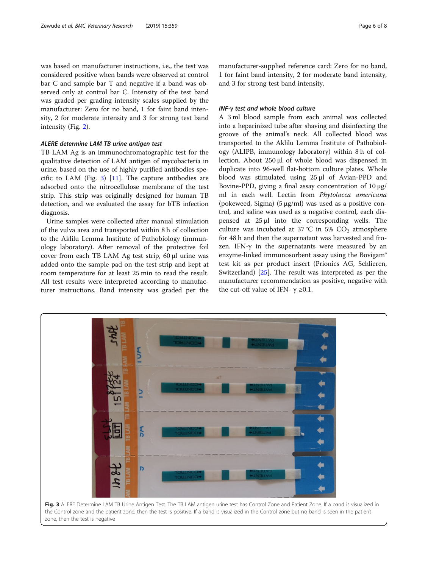was based on manufacturer instructions, i.e., the test was considered positive when bands were observed at control bar C and sample bar T and negative if a band was observed only at control bar C. Intensity of the test band was graded per grading intensity scales supplied by the manufacturer: Zero for no band, 1 for faint band intensity, 2 for moderate intensity and 3 for strong test band intensity (Fig. [2](#page-4-0)).

#### ALERE determine LAM TB urine antigen test

TB LAM Ag is an immunochromatographic test for the qualitative detection of LAM antigen of mycobacteria in urine, based on the use of highly purified antibodies specific to LAM (Fig. 3)  $[11]$  $[11]$  $[11]$ . The capture antibodies are adsorbed onto the nitrocellulose membrane of the test strip. This strip was originally designed for human TB detection, and we evaluated the assay for bTB infection diagnosis.

Urine samples were collected after manual stimulation of the vulva area and transported within 8 h of collection to the Aklilu Lemma Institute of Pathobiology (immunology laboratory). After removal of the protective foil cover from each TB LAM Ag test strip, 60 μl urine was added onto the sample pad on the test strip and kept at room temperature for at least 25 min to read the result. All test results were interpreted according to manufacturer instructions. Band intensity was graded per the

manufacturer-supplied reference card: Zero for no band, 1 for faint band intensity, 2 for moderate band intensity, and 3 for strong test band intensity.

#### INF-γ test and whole blood culture

A 3 ml blood sample from each animal was collected into a heparinized tube after shaving and disinfecting the groove of the animal's neck. All collected blood was transported to the Aklilu Lemma Institute of Pathobiology (ALIPB, immunology laboratory) within 8 h of collection. About 250 μl of whole blood was dispensed in duplicate into 96-well flat-bottom culture plates. Whole blood was stimulated using 25 μl of Avian-PPD and Bovine-PPD, giving a final assay concentration of 10 μg/ ml in each well. Lectin from Phytolacca americana (pokeweed, Sigma) (5 μg/ml) was used as a positive control, and saline was used as a negative control, each dispensed at 25 μl into the corresponding wells. The culture was incubated at 37 °C in 5%  $CO<sub>2</sub>$  atmosphere for 48 h and then the supernatant was harvested and frozen. IFN-γ in the supernatants were measured by an enzyme-linked immunosorbent assay using the Bovigam® test kit as per product insert (Prionics AG, Schlieren, Switzerland) [\[25](#page-7-0)]. The result was interpreted as per the manufacturer recommendation as positive, negative with the cut-off value of IFN-  $\gamma \ge 0.1$ .

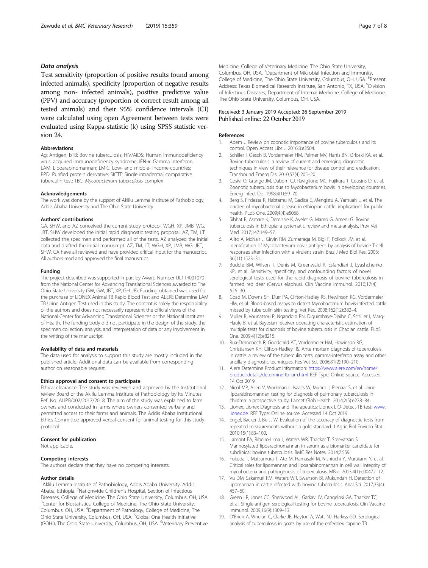#### <span id="page-6-0"></span>Data analysis

Test sensitivity (proportion of positive results found among infected animals), specificity (proportion of negative results among non- infected animals), positive predictive value (PPV) and accuracy (proportion of correct result among all tested animals) and their 95% confidence intervals (CI) were calculated using open Agreement between tests were evaluated using Kappa-statistic (k) using SPSS statistic version 24.

#### Abbreviations

Ag: Antigen; bTB: Bovine tuberculosis; HIV/AIDS: Human immunodeficiency virus; acquired immunodeficiency syndrome; IFN-ɤ: Gamma interferon; LAM: Lipoarabinomannan; LMIC: Low- and middle- income countries; PPD: Purified protein derivative; SICTT: Single intradermal comparative tuberculin test; TBC: Mycobacterium tuberculosis complex

#### Acknowledgements

The work was done by the support of Aklilu Lemma Institute of Pathobiology, Addis Ababa University and The Ohio State University.

#### Authors' contributions

GA, SHW, and AZ conceived the current study protocol. WGH, XP, JMB, WG, JBT, SHW developed the initial rapid diagnostic testing proposal. AZ, TM, LT collected the specimen and performed all of the tests. AZ analyzed the initial data and drafted the initial manuscript. AZ, TM, LT, WGH, XP, JMB, WG, JBT, SHW, GA have all reviewed and have provided critical input for the manuscript. All authors read and approved the final manuscript.

#### Funding

The project described was supported in part by Award Number UL1TR001070 from the National Center for Advancing Translational Sciences awarded to The Ohio State University (SW, GW, JBT, XP, GH, JB). Funding obtained was used for the purchase of LIONEX Animal TB Rapid Blood Test and ALERE Determine LAM TB Urine Antigen Test used in this study. The content is solely the responsibility of the authors and does not necessarily represent the official views of the National Center for Advancing Translational Sciences or the National Institutes of Health. The funding body did not participate in the design of the study, the specimen collection, analysis, and interpretation of data or any involvement in the writing of the manuscript.

#### Availability of data and materials

The data used for analysis to support this study are mostly included in the published article. Additional data can be available from corresponding author on reasonable request.

#### Ethics approval and consent to participate

Ethical clearance: The study was reviewed and approved by the Institutional review Board of the Aklilu Lemma Institute of Pathobiology by its Minutes Ref. No. ALIPB/002/2017/2018. The aim of the study was explained to farm owners and conducted in farms where owners consented verbally and permitted access to their farms and animals. The Addis Ababa Institutional Ethics Committee approved verbal consent for animal testing for this study protocol.

#### Consent for publication

Not applicable.

#### Competing interests

The authors declare that they have no competing interests.

#### Author details

<sup>1</sup> Aklilu Lemma Institute of Pathobiology, Addis Ababa University, Addis Ababa, Ethiopia. <sup>2</sup>Nationwide Children's Hospital, Section of Infectious Diseases, College of Medicine, The Ohio State University, Columbus, OH, USA. <sup>3</sup> Center for Biostatistics, College of Medicine, The Ohio State University, Columbus, OH, USA. <sup>4</sup> Department of Pathology, College of Medicine, The Ohio State University, Columbus, OH, USA. <sup>5</sup>Global One Health initiative (GOHi), The Ohio State University, Columbus, OH, USA. <sup>6</sup>Veterinary Preventive

Medicine, College of Veterinary Medicine, The Ohio State University, Columbus, OH, USA. <sup>7</sup>Department of Microbial Infection and Immunity College of Medicine, The Ohio State University, Columbus, OH, USA. <sup>8</sup>Present Address: Texas Biomedical Research Institute, San Antonio, TX, USA. <sup>9</sup>Division of Infectious Diseases, Department of Internal Medicine, College of Medicine, The Ohio State University, Columbus, OH, USA.

#### Received: 3 January 2019 Accepted: 26 September 2019 Published online: 22 October 2019

#### References

- 1. Adem J. Review on zoonotic importance of bovine tuberculosis and its control. Open Access Libr J. 2016;3:e2504.
- 2. Schiller I, Oesch B, Vordermeier HM, Palmer MV, Harris BN, Orloski KA, et al. Bovine tuberculosis: a review of current and emerging diagnostic techniques in view of their relevance for disease control and eradication. Transbound Emerg Dis. 2010;57(4):205–20.
- 3. Cosivi O, Grange JM, Daborn CJ, Raviglione MC, Fujikura T, Cousins D, et al. Zoonotic tuberculosis due to Mycobacterium bovis in developing countries. Emerg Infect Dis. 1998;4(1):59–70.
- Berg S, Firdessa R, Habtamu M, Gadisa E, Mengistu A, Yamuah L, et al. The burden of mycobacterial disease in ethiopian cattle: implications for public health. PLoS One. 2009;4(4):e5068.
- Sibhat B, Asmare K, Demissie K, Ayelet G, Mamo G, Ameni G. Bovine tuberculosis in Ethiopia: a systematic review and meta-analysis. Prev Vet Med. 2017;147:149–57.
- 6. Alito A, McNair J, Girvin RM, Zumarraga M, Bigi F, Pollock JM, et al. Identification of Mycobacterium bovis antigens by analysis of bovine T-cell responses after infection with a virulent strain. Braz J Med Biol Res. 2003; 36(11):1523–31.
- 7. Buddle BM, Wilson T, Denis M, Greenwald R, Esfandiari J, Lyashchenko KP, et al. Sensitivity, specificity, and confounding factors of novel serological tests used for the rapid diagnosis of bovine tuberculosis in farmed red deer (Cervus elaphus). Clin Vaccine Immunol. 2010;17(4): 626–30.
- 8. Coad M, Downs SH, Durr PA, Clifton-Hadley RS, Hewinson RG, Vordermeier HM, et al. Blood-based assays to detect Mycobacterium bovis-infected cattle missed by tuberculin skin testing. Vet Rec. 2008;162(12):382–4.
- Muller B, Vounatsou P, Ngandolo BN, Diguimbaye-Djaibe C, Schiller I, Marg-Haufe B, et al. Bayesian receiver operating characteristic estimation of multiple tests for diagnosis of bovine tuberculosis in Chadian cattle. PLoS One. 2009;4(12):e8215.
- 10. Rua-Domenech R, Goodchild AT, Vordermeier HM, Hewinson RG, Christiansen KH, Clifton-Hadley RS. Ante mortem diagnosis of tuberculosis in cattle: a review of the tuberculin tests, gamma-interferon assay and other ancillary diagnostic techniques. Res Vet Sci. 2006;81(2):190–210.
- 11. Alere Determine Product Information: [https://www.alere.com/en/home/](https://www.alere.com/en/home/product-details/determine-tb-lam.html) [product-details/determine-tb-lam.html](https://www.alere.com/en/home/product-details/determine-tb-lam.html) REF Type: Online source. Accessed 14 Oct 2019.
- 12. Nicol MP, Allen V, Workman L, Isaacs W, Munro J, Pienaar S, et al. Urine lipoarabinomannan testing for diagnosis of pulmonary tuberculosis in children: a prospective study. Lancet Glob Health. 2014;2(5):e278–84.
- 13. Lionex, Lionex Diagnosis and Therapeutics: Lionex LIO-Detect-TB test. [www.](https://www.www.lionex.de) [lionex.de](https://www.www.lionex.de). REF Type: Online source. Accessed 14 Oct 2019.
- 14. Engel, Backer J, Buist W. Evaluation of the accuracy of diagnostic tests from repeated measurements without a gold standard. J Agric Biol Environ Stat. 2010;15(1):83–100.
- 15. Lamont EA, Ribeiro-Lima J, Waters WR, Thacker T, Sreevatsan S. Mannosylated lipoarabinomannan in serum as a biomarker candidate for subclinical bovine tuberculosis. BMC Res Notes. 2014;7:559.
- 16. Fukuda T, Matsumura T, Ato M, Hamasaki M, Nishiuchi Y, Murakami Y, et al. Critical roles for lipomannan and lipoarabinomannan in cell wall integrity of mycobacteria and pathogenesis of tuberculosis. MBio. 2013;4(1):e00472–12.
- 17. Vu DM, Sakamuri RM, Waters WR, Swanson BI, Mukundan H. Detection of lipomannan in cattle infected with bovine tuberculosis. Anal Sci. 2017;33(4): 457–60.
- 18. Green LR, Jones CC, Sherwood AL, Garkavi IV, Cangelosi GA, Thacker TC, et al. Single-antigen serological testing for bovine tuberculosis. Clin Vaccine Immunol. 2009;16(9):1309–13.
- 19. O'Brien A, Whelan C, Clarke JB, Hayton A, Watt NJ, Harkiss GD. Serological analysis of tuberculosis in goats by use of the enferplex caprine TB